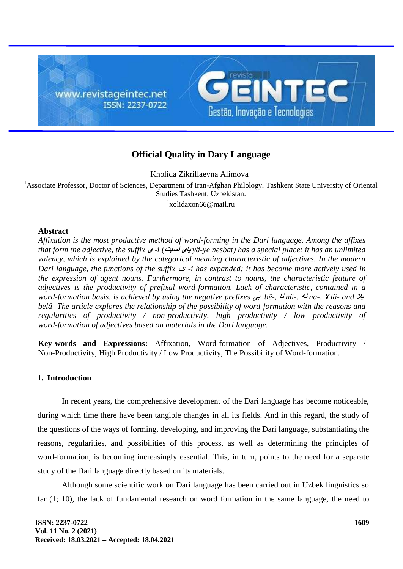

# **Official Quality in Dary Language**

Kholida Zikrillaevna Alimova<sup>1</sup>

<sup>1</sup>Associate Professor, Doctor of Sciences, Department of Iran-Afghan Philology, Tashkent State University of Oriental Studies Tashkent, Uzbekistan. <sup>1</sup>xolidaxon66@mail.ru

## **Abstract**

*Affixation is the most productive method of word-forming in the Dari language. Among the affixes that form the adjective, the suffix* **<sup>ی</sup>** *-i (***نسبت یای** *yâ-ye nesbat) has a special place: it has an unlimited valency, which is explained by the categorical meaning characteristic of adjectives. In the modern Dari language, the functions of the suffix* <sup>ی</sup> *-i has expanded: it has become more actively used in the expression of agent nouns. Furthermore, in contrast to nouns, the characteristic feature of adjectives is the productivity of prefixal word-formation. Lack of characteristic, contained in a word-formation basis, is achieved by using the negative prefixes* **بی** *bê-,* **نا** *nâ-,* **نه** *na-,* **ال** *lâ- and* **بال** *belâ- The article explores the relationship of the possibility of word-formation with the reasons and regularities of productivity / non-productivity, high productivity / low productivity of word-formation of adjectives based on materials in the Dari language.*

**Key-words and Expressions:** Affixation, Word-formation of Adjectives, Productivity / Non-Productivity, High Productivity / Low Productivity, The Possibility of Word-formation.

## **1. Introduction**

In recent years, the comprehensive development of the Dari language has become noticeable, during which time there have been tangible changes in all its fields. And in this regard, the study of the questions of the ways of forming, developing, and improving the Dari language, substantiating the reasons, regularities, and possibilities of this process, as well as determining the principles of word-formation, is becoming increasingly essential. This, in turn, points to the need for a separate study of the Dari language directly based on its materials.

Although some scientific work on Dari language has been carried out in Uzbek linguistics so far (1; 10), the lack of fundamental research on word formation in the same language, the need to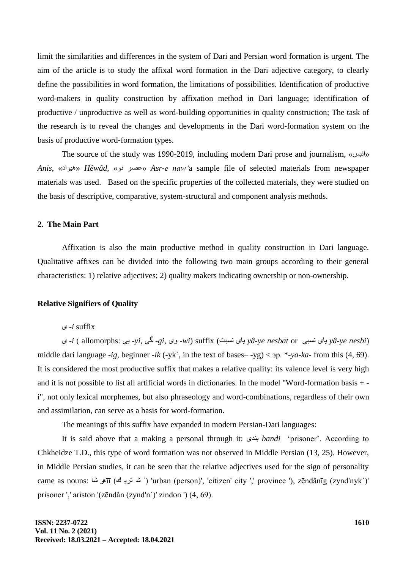limit the similarities and differences in the system of Dari and Persian word formation is urgent. The aim of the article is to study the affixal word formation in the Dari adjective category, to clearly define the possibilities in word formation, the limitations of possibilities. Identification of productive word-makers in quality construction by affixation method in Dari language; identification of productive / unproductive as well as word-building opportunities in quality construction; The task of the research is to reveal the changes and developments in the Dari word-formation system on the basis of productive word-formation types.

The source of the study was 1990-2019, including modern Dari prose and journalism, «انیس» *Anis*, »ادْیُ »*Hêwâd*, »ًْ عصش »*Asr-e naw'*a sample file of selected materials from newspaper materials was used. Based on the specific properties of the collected materials, they were studied on the basis of descriptive, comparative, system-structural and component analysis methods.

### **2. The Main Part**

Affixation is also the main productive method in quality construction in Dari language. Qualitative affixes can be divided into the following two main groups according to their general characteristics: 1) relative adjectives; 2) quality makers indicating ownership or non-ownership.

#### **Relative Signifiers of Quality**

### ی -*i* suffix

ی -*i* ) allomorphs: یی -*yi*, گی -*gi*, یّ -*wi*) suffix (غجتً یبی *yâ-ye nesbat* or غجیً یبی *yâ-ye nesbi*) middle dari language *-ig*, beginner *-ik* (-yk´, in the text of bases– -yg) < эр. \**-ya-ka-* from this (4, 69). It is considered the most productive suffix that makes a relative quality: its valence level is very high and it is not possible to list all artificial words in dictionaries. In the model "Word-formation basis + i", not only lexical morphemes, but also phraseology and word-combinations, regardless of their own and assimilation, can serve as a basis for word-formation.

The meanings of this suffix have expanded in modern Persian-Dari languages:

It is said above that a making a personal through it: ذیٌث *bandi* 'prisoner'. According to Chkheidze T.D., this type of word formation was not observed in Middle Persian (13, 25). However, in Middle Persian studies, it can be seen that the relative adjectives used for the sign of personality came as nouns: شا هرīī (ك تري ش' (́ urban (person)', 'citizen' city ',' province '), zēndânīg (zynd'nyk´)' prisoner ',' ariston '(zēndân (zynd'n´)' zindon ') (4, 69).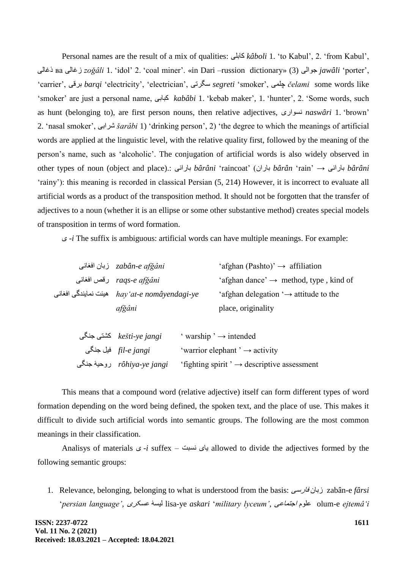Personal names are the result of a mix of qualities: کبثلی *kâboli* 1. 'to Kabul', 2. 'from Kabul', رغبلی ва صغبلی *zoǧâli* 1. 'idol' 2. 'coal miner'. «in Dari –russion dictionary» (3) الیْج *jawâli* 'porter', 'carrier', ثشلی *barqi* 'electricity', 'electrician', عگشتی *segreti* 'smoker', چلوی *čelami* some words like 'smoker' are just a personal name, کجبثی *kabâbi* 1. 'kebab maker', 1. 'hunter', 2. 'Some words, such as hunt (belonging to), are first person nouns, then relative adjectives, اسیْغً *naswâri* 1. 'brown' 2. 'nasal smoker', ؽشاثی *šarâbi* 1) 'drinking person', 2) 'the degree to which the meanings of artificial words are applied at the linguistic level, with the relative quality first, followed by the meaning of the person's name, such as 'alcoholic'. The conjugation of artificial words is also widely observed in other types of noun (object and place).: یًثبسا *bârâni* 'raincoat' (ثبساى *bârân* 'rain' → یًثبسا *bârâni* 'rainy'): this meaning is recorded in classical Persian (5, 214) However, it is incorrect to evaluate all artificial words as a product of the transposition method. It should not be forgotten that the transfer of adjectives to a noun (whether it is an ellipse or some other substantive method) creates special models of transposition in terms of word formation.

ی -*i* The suffix is ambiguous: artificial words can have multiple meanings. For example:

| zabân-e afğâni زبان افغانی                    | 'afghan (Pashto)' $\rightarrow$ affiliation        |
|-----------------------------------------------|----------------------------------------------------|
| raqs-e afğâni رقص افغانی                      | 'afghan dance' $\rightarrow$ method, type, kind of |
| میئت نمایندگی افغانی hay 'at-e nomâyendagi-ye | 'afghan delegation ' $\rightarrow$ attitude to the |
| afğâni                                        | place, originality                                 |
|                                               |                                                    |

| كشتى جنگى $\,$ kešti-ye jangi | ' warship ' $\rightarrow$ intended                     |
|-------------------------------|--------------------------------------------------------|
| <i>fil-e jangi</i> فيل جنگي   | 'warrior elephant' $\rightarrow$ activity              |
| rôhiya-ye jangi   روحيهٔ جذگی | 'fighting spirit' $\rightarrow$ descriptive assessment |

This means that a compound word (relative adjective) itself can form different types of word formation depending on the word being defined, the spoken text, and the place of use. This makes it difficult to divide such artificial words into semantic groups. The following are the most common meanings in their classification.

Analisys of materials  $\zeta$  -*i* suffex – يباي نسبت – allowed to divide the adjectives formed by the following semantic groups:

1. Relevance, belonging, belonging to what is understood from the basis: فبسعی صثبى zabân-e *fârsi* '*persian language'*, عغکشی لیغۀ lisa-ye *askari* '*military lyceum'*, اجتوبعی مْعل olum-e *ejtemâ'i*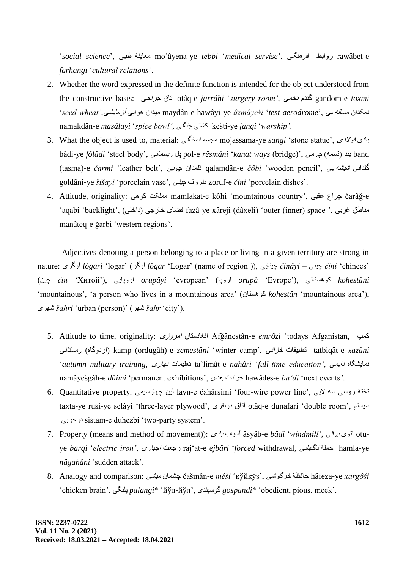'*social science*', طجی ۀٌهعبی mo'âyena-ye *tebbi* '*medical servise*'. گیٌُفش اثظّس rawâbet-e *farhangi* '*cultural relations'*.

- 2. Whether the word expressed in the definite function is intended for the object understood from the constructive basis: جشاحی اتبق otâq-e *jarrâhi* '*surgery room'*, تخوی ذمٌگ gandom-e *toxmi* '*seed wheat'*,آصهبیؾی اییُْ هیذاى maydân-e hawâyi-ye *âzmâyeši* '*test aerodrome*', یی َهغبل وکذاىً namakdân-e *masâlayi* '*spice bowl'*, گیٌج کؾتی kešti-ye *jangi* '*warship'*.
- 3. What the object is used to, material: گیٌع هجغوۀ mojassama-ye *sangi* 'stone statue', الدیْف ثبدی bâdi-ye *fôlâdi* 'steel body', یًسیغوب پل pol-e *rêsmâni* '*kanat ways* (bridge)', چشهی( َتغو )ذٌث band (tasma)-e *čarmi* 'leather belt', قلمدان ج*وبی)* qalamdân-e *čôbi* 'wooden pencil', یَشی*شه یی* goldâni-ye *šišayi* 'porcelain vase', یٌچی فّظش zoruf-e *čini* 'porcelain dishes'.
- 4. Attitude, originality: یُْک هولکت mamlakat-e kôhi 'mountainous country', عمجی چشاغ čarâǧ-e 'aqabi 'backlight', (داخلی ) fazâ-ye xâreji (dâxeli) 'outer (inner) space ', غضبای خارجی (داخلی) manâteq-e ǧarbi 'western regions'.

Adjectives denoting a person belonging to a place or living in a given territory are strong in nature: گشیْل *lôgari* 'logar' (گشْل *lôgar* 'Logar' (name of region )), بییٌچی *činâyi* – یٌچی *čini* 'chinees'  *kohestâni* کُْغتبًی ,('Еvrope '*orupâ* اسّپب) 'evropean '*orupâyi* اسّپبیی ,('Хитой '*čin* چیي) 'mountainous', 'a person who lives in a mountainous area' (غتبىُْک *kohestân* 'mountainous area'), شیِؽ *šahri* 'urban (person)' (شِؽ *šahr* 'city').

- 5. Attitude to time, originality: صیّاهش غتبىًافغب Afǧânestân-e *emrôzi* 'todays Afganistan, کوپ یًصهغتب( ٍگبّاسد )kamp (ordugâh)-e *zemestâni* 'winter camp', یًخضا تطجیمبت tatbiqât-e *xazâni* '*autumn military training*, بسیًِ تعلیوبت ta'limât-e *nahâri* '*full-time education'*, دایوی ٍوبیؾگبً namâyešgâh-e *dâimi* 'permanent exhibitions', ثعذی ادثْح hawâdes-e *ba'di* 'next events*'*.
- 6. Quantitative property: لین چهارسیمی layn-e čahârsimi 'four-wire power line', الیت تختهٔ روسی سه لایی taxta-ye rusi-ye selâyi 'three-layer plywood', لتاق دونفری otâq-e dunafari 'double room', سیستم حضثیّد sistam-e duhezbi 'two-party system'.
- 7. Property (means and method of movement)): ثبدی آعیبة âsyâb-e *bâdi* '*windmill'*, ثشلی یْات otuye *barqi* '*electric iron'*, اججبسی سجعت raj'at-e *ejbâri* '*forced* withdrawal, یًبِبگً حولۀ hamla-ye *nâgahâni* 'sudden attack'.
- 8. Analogy and comparison: هیؾی چؾوبى čašmân-e *mêši* 'қўйкўз', ؽیْخشگ حبفظۀ hâfeza-ye *xargôši* 'chicken brain', گیٌپل *palangi*\* 'йўл-йўл', ذیٌعپْگ *gospandi*\* 'obedient, pious, meek'.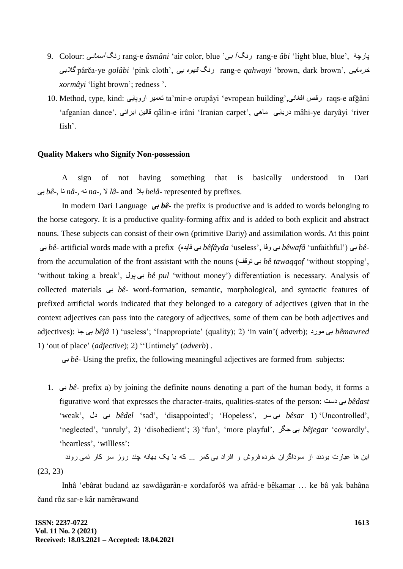- 9. Colour: یًآعوب گًس rang-e *âsmâni* 'air color, blue 'ثی آ گًس rang-e *âbi* 'light blue, blue', پبسچۀ گالثی pârča-ye *golâbi* 'pink cloth', یی ٍِْل گًس rang-e *qahwayi* 'brown, dark brown', خشهبیی *xormâyi* 'light brown'; redness '.
- 10. Method, type, kind: پبییّاس تعویش ta'mir-e orupâyi 'evropean building',یًافغب سلص raqs-e afǧâni 'afganian dance', یًایشا لبلیي qâlin-e irâni 'Iranian carpet', یُهب دسیبیی mâhi-ye daryâyi 'river fish'.

#### **Quality Makers who Signify Non-possession**

A sign of not having something that is basically understood in Dari ثی *bê-*, بً *nâ-,* ًَ *na-,* ال *lâ-* and ثال *belâ-* represented by prefixes.

In modern Dari Language **بی** *bê-* the prefix is productive and is added to words belonging to the horse category. It is a productive quality-forming affix and is added to both explicit and abstract nouns. These subjects can consist of their own (primitive Dariy) and assimilation words. At this point ثی *bê*- artificial words made with a prefix (ٍفبیذ ثی *bêfâyda* 'useless', فبّ ثی *bêwafâ* 'unfaithful') ثی *bê*from the accumulation of the front assistant with the nouns (لفْت ثی *bê tawaqqof* 'without stopping', 'without taking a break', لْپ ثی *bê pul* 'without money') differentiation is necessary. Analysis of collected materials ثی *bê*- word-formation, semantic, morphological, and syntactic features of prefixed artificial words indicated that they belonged to a category of adjectives (given that in the context adjectives can pass into the category of adjectives, some of them can be both adjectives and adjectives): جب ثی *bêjâ* 1) 'useless'; 'Inappropriate' (quality); 2) 'in vain'( adverb); سدْه ثی *bêmawred* 1) 'out of place' (*adjective*); 2) ''Untimely' (*adverb*) .

ثی *bê*- Using the prefix, the following meaningful adjectives are formed from subjects:

1. ثی *bê*- prefix а) by joining the definite nouns denoting a part of the human body, it forms a figurative word that expresses the character-traits, qualities-states of the person: دعت ثی *bêdast* 'weak', دل ثی *bêdel* 'sad', 'disappointed'; 'Hopeless', عش ثی *bêsar* 1) 'Uncontrolled', 'neglected', 'unruly', 2) 'disobedient'; 3) 'fun', 'more playful', جگش ثی *bêjegar* 'cowardly', 'heartless', 'willless':

این ها عبارت بودند از سوداگران خرده فروش و افراد بی کمر .<sub>..</sub> که با یک بهانه چند روز سر کار ن*می رو*ند (23, 23)

Inhâ 'ebârat budand az sawdâgarân-e xordaforôš wa afrâd-e bêkamar … ke bâ yak bahâna čand rôz sar-e kâr namêrawand

**ISSN: 2237-0722 Vol. 11 No. 2 (2021) Received: 18.03.2021 – Accepted: 18.04.2021**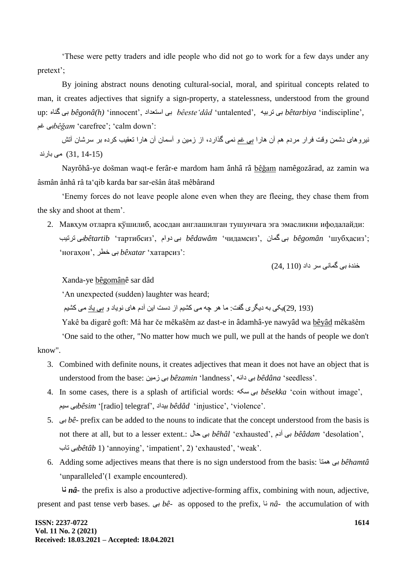'These were petty traders and idle people who did not go to work for a few days under any pretext';

By joining abstract nouns denoting cultural-social, moral, and spiritual concepts related to man, it creates adjectives that signify a sign-property, a statelessness, understood from the ground up: ٍبٌگ ثی *bêgonâ(h)* 'innocent', اعتعذاد ثی *bêeste'dâd* 'untalented', َتشثی ثی *bêtarbiya* 'indiscipline', غن ثی*bêǧam* 'carefree'; 'calm down':

نیر و های دشمن وقت فر از مردم هم آن هار ا بی غم نمی گذارد، از زمین و آسمان آن هار ا تعقیب کرده بر سرشان آتش (15-31, 31) می بارند

Nayrôhâ-ye došman waqt-e ferâr-e mardom ham ânhâ râ bêǧam namêgozârad, az zamin wa âsmân ânhâ râ ta'qib karda bar sar-ešân âtaš mêbârand

'Enemy forces do not leave people alone even when they are fleeing, they chase them from the sky and shoot at them'.

2. Мавҳум отларга қўшилиб, асосдан англашилган тушунчага эга эмасликни ифодалайди: ;'шубҳасиз '*bêgomân* ثی گوبى ,'чидамсиз '*bêdawâm* ثی دّام ,'тартибсиз '*bêtartib*ثی تشتیت 'ногаҳон', خطش ثی *bêxatar* 'хатарсиз':

 $(24, 110)$  خندۂ بی گمانی سر داد

### Xanda-ye bêgomânê sar dâd

'An unexpected (sudden) laughter was heard;

(193 ,29)یکی به دیگری گفت: ما هر چِه می کشیم از دست این آدم های نویاد و <u>بی یاد</u> می کشیم

Yakê ba digarê goft: Mâ har če mêkašêm az dast-e in âdamhâ-ye nawyâd wa bêyâd mêkašêm

'One said to the other, "No matter how much we pull, we pull at the hands of people we don't know".

- 3. Combined with definite nouns, it creates adjectives that mean it does not have an object that is understood from the base: صهیي ثی *bêzamin* 'landness', ًَدا ثی *bêdâna* 'seedless'.
- 4. In some cases, there is a splash of artificial words: َعک ثی *bêsekka* 'coin without image', عین ثی*bêsim* '[radio] telegraf', ثیذاد *bêdâd* 'injustice', 'violence'.
- 5. ثی *bê* prefix can be added to the nouns to indicate that the concept understood from the basis is not there at all, but to a lesser extent.: حبل ثی *bêhâl* 'exhausted', آدم ثی *bêâdam* 'desolation', تبة ثی*bêtâb* 1) 'annoying', 'impatient', 2) 'exhausted', 'weak'.
- 6. Adding some adjectives means that there is no sign understood from the basis: وتبُ ثی *bêhamtâ* 'unparalleled'(1 example encountered).

**نا** *nâ***-** the prefix is also a productive adjective-forming affix, combining with noun, adjective, present and past tense verb bases. ثی *bê-* as opposed to the prefix, بً *nâ*- the accumulation of with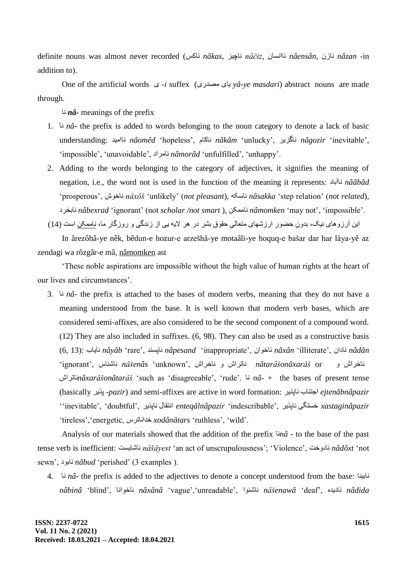definite nouns was almost never recorded (بالكس *nâkas, خارن nâčiz, باقين nâciz, غازن nâensân*, ب addition to).

One of the artificial words ی -*i* suffex (هصذسی یبی *yâ-ye masdari*) abstract nouns are made through.

بً *nâ-* meanings of the prefix

- 1. بً *nâ* the prefix is added to words belonging to the noun category to denote a lack of basic understanding: باهیذً *nâomêd* 'hopeless', بکبمً *nâkâm* 'unlucky', بگضیشً *nâgozir* 'inevitable', 'impossible', 'unavoidable', نامراد, nâmorâd 'unfulfilled', 'unhappy'.
- 2. Adding to the words belonging to the category of adjectives, it signifies the meaning of negation, i.e., the word not is used in the function of the meaning it represents: بآثبدً *nââbâd*  'prosperous', ػْبخً *nâxôš* 'unlikely' (*not pleasant*), َبعکً *nâsakka* 'step relation' (*not related*), بثخشدً *nâbexrad* 'ignorant' (not *scholar /not smart* ), بهوکيً *nâmomken* 'may not', 'impossible'.

این ارزوهای نیک، بدونِ حضورِ ارزشْهای متعالیِ حقوقِ بشر در هر لایه یی از زندگی و روزگارِ ما، <u>ناممکن</u> است (14) ِ ِ

In ârezôhâ-ye nêk, bêdun-e hozur-e arzešhâ-ye motaâli-ye hoquq-e bašar dar har lâya-yê az zendagi wa rôzgâr-e mâ, nâmomken ast

'These noble aspirations are impossible without the high value of human rights at the heart of our lives and circumstances'.

3. بً *nâ*- the prefix is attached to the bases of modern verbs, meaning that they do not have a meaning understood from the base. It is well known that modern verb bases, which are considered semi-affixes, are also considered to be the second component of a compound word. (12) They are also included in suffixes. (6, 98). They can also be used as a constructive basis (6, 13): بیبةً *nâyâb* 'rare', ذٌبپغً *nâpesand* 'inappropriate', اىْبخً *nâxân* 'illiterate', بداىً *nâdân* ًبخشاػ ّ or *nâtarâšonâxarâš* ًبتشاػ ّ ًبخشاػ ,'unknown '*nâšenâs* ًبؽٌبط ,'ignorant' بتشاػً*nâxarâšonâtarâš* 'such as 'disagreeable', 'rude'. بً *nâ*- + the bases of present tense (basically پزیش -*pazir*) and semi-affixes are active in word formation: بپزیشً بةٌاجت *ejtenâbnâpazir xastaginâpazir* خغتگی ًبپزیش ,'indescribable '*enteqâlnâpazir* اًتمبل ًبپزیش ,'doubtful ','inevitable'' 'tireless','energetic, بتشطًخذا *xodânâtars* 'ruthless', 'wild'.

Analysis of our materials showed that the addition of the prefix بً*nâ* - to the base of the past tense verb is inefficient: بؽبیغتً *nâšâyest* 'an act of unscrupulousness'; 'Violence', ختّبدً *nâdôxt* 'not sewn', دْبثً *nâbud* 'perished' (3 examples ).

4. بً *nâ*- the prefix is added to the adjectives to denote a concept understood from the base: بٌبثیً *nâbinâ* 'blind', بًاْبخً *nâxânâ* 'vague','unreadable', اٌْبؽً *nâšenawâ* 'deaf', ٍبدیذً *nâdida*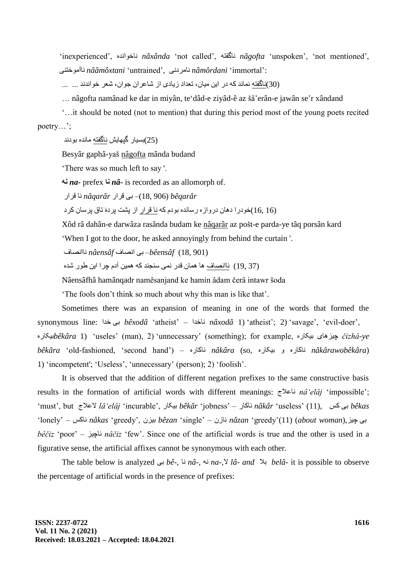'inexperienced', ٍذًاْبخً *nâxânda* 'not called', َبگفتً *nâgofta* 'unspoken', 'not mentioned', :'immortal '*nâmôrdani* ًبهشدًی ,'untrained '*nââmôxtani* ًبآهْختٌی

(30)ناگفته نماند كه در این میان، تعداد زیادى از شاعران جوان، شعر خواندند ... ...

… nâgofta namânad ke dar in miyân, te'dâd-e ziyâd-ê az šâ'erân-e jawân se'r xândand

'…it should be noted (not to mention) that during this period most of the young poets recited poetry…';

(25)بِسيار گيِهايش ناگفته مانده بودند

Besyâr gaphâ-yaš nâgofta mânda budand

'There was so much left to say '.

**نه** *na-* prefex **نا** *nâ***-** is recorded as an allomorph of.

بی فرار *nâqarâr* نا قرار *nâqarâr* بن لشاس به *nâqarâr* 

(16, 16)خودرا دهان دروازه رسانده بودم که نا قرار از بشت بردۀ تاق برسان کرد

Xôd râ dahân-e darwâza rasânda budam ke nâqarâr az pošt-e parda-ye tâq porsân kard

'When I got to the door, he asked annoyingly from behind the curtain '.

(901 18,) *bêensâf* –ثی اًصبف *nâensâf* ًباًصبف

(37 19) ناانصاف ها همان قدر نمی سنجند که همین آدم چرا این طور شده

Nâensâfhâ hamânqadr namêsanjand ke hamin âdam čerâ intawr šoda

'The fools don't think so much about why this man is like that'.

Sometimes there was an expansion of meaning in one of the words that formed the synonymous line: خذا ثی *bêxodâ* 'atheist' – بخذاً *nâxodâ* 1) 'atheist'; 2) 'savage', 'evil-doer', ٍثیکبس*bêkâra* 1) 'useles' (man), 2) 'unnecessary' (something); for example, ٍثیکبس بیُچیض *čizhâ-ye bêkâra* 'old-fashioned, 'second hand') – ٍبکبسً *nâkâra* (so, ٍثیکبس ّ ٍبکبسً *nâkârawobêkâra*) 1) 'incompetent'; 'Useless', 'unnecessary' (person); 2) 'foolish'.

It is observed that the addition of different negation prefixes to the same constructive basis results in the formation of artificial words with different meanings: بعالجً *nâ'elâj* 'impossible'; 'must', but العالج *lâ'elâj* 'incurable', ثیکبس *bêkâr* 'jobness' – بکبسً *nâkâr* 'useless' (11), کظ ثی *bêkas* 'lonely' – بکظً *nâkas* 'greedy', ثیضى *bêzan* 'single' – بصىً *nâzan* 'greedy'(11) (*about woman*),چیض ثی *bêčiz* 'poor' – بچیضً *nâčiz* 'few'. Since one of the artificial words is true and the other is used in a figurative sense, the artificial affixes cannot be synonymous with each other.

The table below is analyzed ثی *bê-,* بً *nâ-,* ًَ *na-,*ال *lâ- and* ثال *belâ-* it is possible to observe the percentage of artificial words in the presence of prefixes: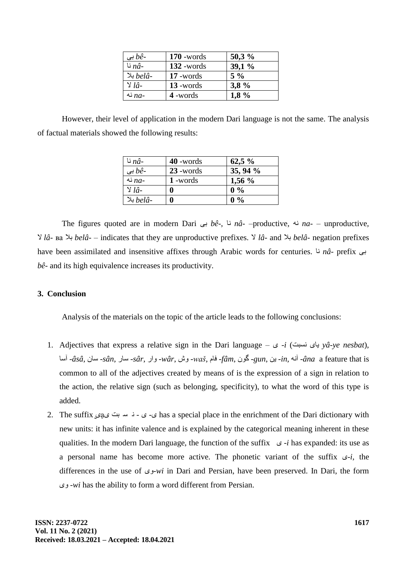| بى $b\hat{e}$ - | $170$ -words | 50,3%   |
|-----------------|--------------|---------|
| نا $n\hat{a}$ - | $132$ -words | 39.1%   |
| -belâ بلا       | $17$ -words  | $5\%$   |
| $\vee$ lâ-      | $13$ -words  | 3,8%    |
| نه $na$ -       | 4 -words     | $1.8\%$ |

However, their level of application in the modern Dari language is not the same. The analysis of factual materials showed the following results:

| نا $n\hat{a}$ -    | $40$ -words | $62,5\%$ |
|--------------------|-------------|----------|
| بي $b\hat{e}$ -    | $23$ -words | 35, 94 % |
| نه $na-$           | 1 -words    | $1,56\%$ |
| $\lambda$ lâ-      |             | $0\%$    |
| بلا $bel\hat{a}$ - |             | $0\%$    |

The figures quoted are in modern Dari ثی *bê-*, بً *nâ-* –productive, ًَ *na-* – unproductive*,*  ال *lâ-* ва ثال *belâ-* – indicates that they are unproductive prefixes. ال *lâ-* and ثال *belâ-* negation prefixes have been assimilated and insensitive affixes through Arabic words for centuries. بً *nâ-* prefix ثی *bê-* and its high equivalence increases its productivity.

## **3. Conclusion**

Analysis of the materials on the topic of the article leads to the following conclusions:

- 1. Adjectives that express a relative sign in the Dari language ی -*i* (غجتً یبی *yâ-ye nesbat*), آعب *-âsâ*, عبى *-sân*, عبس *-sâr*, اسّ *-wâr*, ػّ *-waš*, فبم *-fâm*, ىْگ *-gun*, یي *-in*, ًَآ *-âna* a feature that is common to all of the adjectives created by means of is the expression of a sign in relation to the action, the relative sign (such as belonging, specificity), to what the word of this type is added.
- 2. The suffix و- ب ذ سه بت ي هيمي has a special place in the enrichment of the Dari dictionary with new units: it has infinite valence and is explained by the categorical meaning inherent in these qualities. In the modern Dari language, the function of the suffix -*i* has expanded: its use as a personal name has become more active. The phonetic variant of the suffix ی-*i*, the differences in the use of یّ-*wi* in Dari and Persian, have been preserved. In Dari, the form یّ -*wi* has the ability to form a word different from Persian.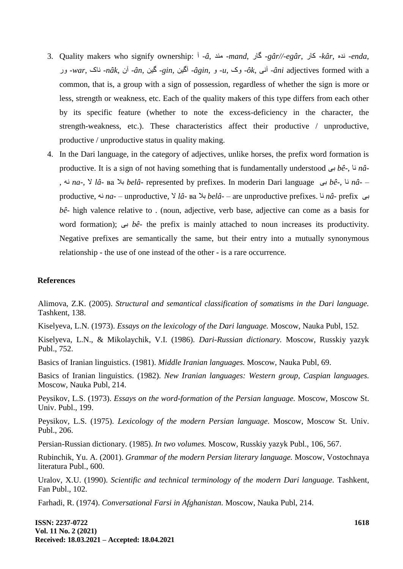- 3. Quality makers who signify ownership: آ *-â*, ذٌه -*mand*, گبس *-gâr//-egâr*, کبس *-kâr*, ٍذً -*enda*, سّ *-war*, بکً -*nâk*, آى -*ân*, گیي -*gin*, آگیي -*âgin*, ّ -*u*, کّ -*ôk*, یًآ -*âni* adjectives formed with a common, that is, a group with a sign of possession, regardless of whether the sign is more or less, strength or weakness, etc. Each of the quality makers of this type differs from each other by its specific feature (whether to note the excess-deficiency in the character, the strength-weakness, etc.). These characteristics affect their productive / unproductive, productive / unproductive status in quality making.
- 4. In the Dari language, in the category of adjectives, unlike horses, the prefix word formation is productive. It is a sign of not having something that is fundamentally understood ثی *bê-*, بً *nâ-* , ًَ *na-,* ال *lâ-* ва ثال *belâ-* represented by prefixes. In moderin Dari language ثی *bê-*, بً *nâ-* – productive, ًَ *na-* – unproductive*,* ال *lâ-* ва ثال *belâ-* – are unproductive prefixes. بً *nâ-* prefix ثی *bê-* high valence relative to . (noun, adjective, verb base, adjective can come as a basis for word formation); ثی *bê-* the prefix is mainly attached to noun increases its productivity. Negative prefixes are semantically the same, but their entry into a mutually synonymous relationship - the use of one instead of the other - is a rare occurrence.

### **References**

Alimova, Z.K. (2005). *Structural and semantical classification of somatisms in the Dari language.* Tashkent, 138.

Kiselyeva, L.N. (1973). *Essays on the lexicology of the Dari language.* Moscow, Nauka Publ, 152.

Kiselyeva, L.N., & Mikolaychik, V.I. (1986). *Dari-Russian dictionary.* Moscow, Russkiy yazyk Publ., 752.

Basics of Iranian linguistics. (1981). *Middle Iranian languages.* Moscow, Nauka Publ, 69.

Basics of Iranian linguistics. (1982). *New Iranian languages: Western group, Caspian languages.* Moscow, Nauka Publ, 214.

Peysikov, L.S. (1973). *Essays on the word-formation of the Persian language.* Moscow, Moscow St. Univ. Publ., 199.

Peysikov, L.S. (1975). *Lexicology of the modern Persian language.* Moscow, Moscow St. Univ. Publ., 206.

Persian-Russian dictionary. (1985). *In two volumes.* Moscow, Russkiy yazyk Publ., 106, 567.

Rubinchik, Yu. A. (2001). *Grammar of the modern Persian literary language.* Moscow, Vostochnaya literatura Publ., 600.

Uralov, X.U. (1990). *Scientific and technical terminology of the modern Dari language.* Тashkent, Fan Publ., 102.

Farhadi, R. (1974). *Conversational Farsi in Afghanistan.* Moscow, Nauka Publ, 214.

**ISSN: 2237-0722 Vol. 11 No. 2 (2021) Received: 18.03.2021 – Accepted: 18.04.2021**